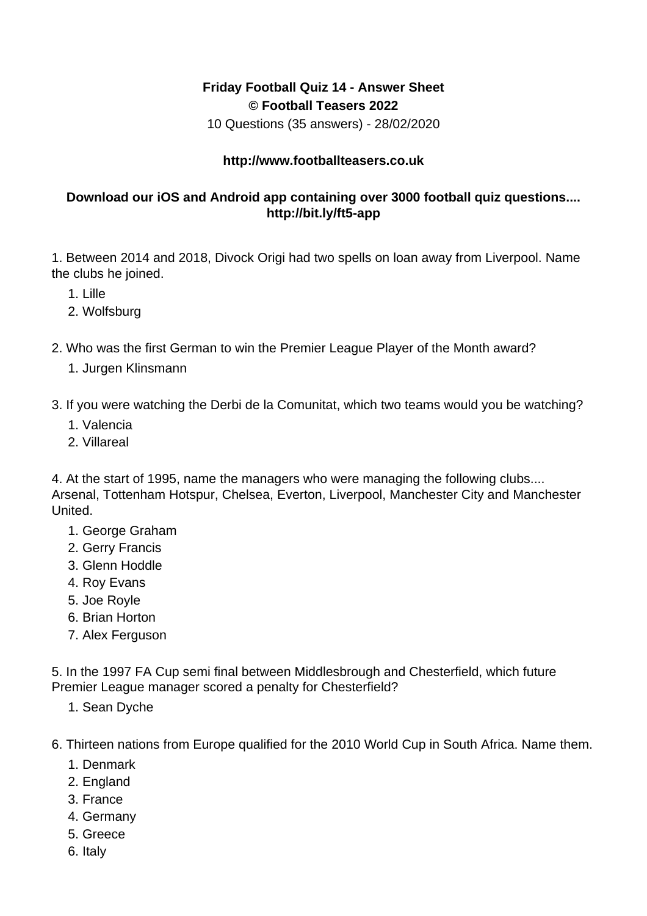## **Friday Football Quiz 14 - Answer Sheet © Football Teasers 2022**

10 Questions (35 answers) - 28/02/2020

## **http://www.footballteasers.co.uk**

## **Download our iOS and Android app containing over 3000 football quiz questions.... http://bit.ly/ft5-app**

1. Between 2014 and 2018, Divock Origi had two spells on loan away from Liverpool. Name the clubs he joined.

- 1. Lille
- 2. Wolfsburg
- 2. Who was the first German to win the Premier League Player of the Month award?
	- 1. Jurgen Klinsmann

3. If you were watching the Derbi de la Comunitat, which two teams would you be watching?

- 1. Valencia
- 2. Villareal

4. At the start of 1995, name the managers who were managing the following clubs.... Arsenal, Tottenham Hotspur, Chelsea, Everton, Liverpool, Manchester City and Manchester United.

- 1. George Graham
- 2. Gerry Francis
- 3. Glenn Hoddle
- 4. Roy Evans
- 5. Joe Royle
- 6. Brian Horton
- 7. Alex Ferguson

5. In the 1997 FA Cup semi final between Middlesbrough and Chesterfield, which future Premier League manager scored a penalty for Chesterfield?

- 1. Sean Dyche
- 6. Thirteen nations from Europe qualified for the 2010 World Cup in South Africa. Name them.
	- 1. Denmark
	- 2. England
	- 3. France
	- 4. Germany
	- 5. Greece
	- 6. Italy